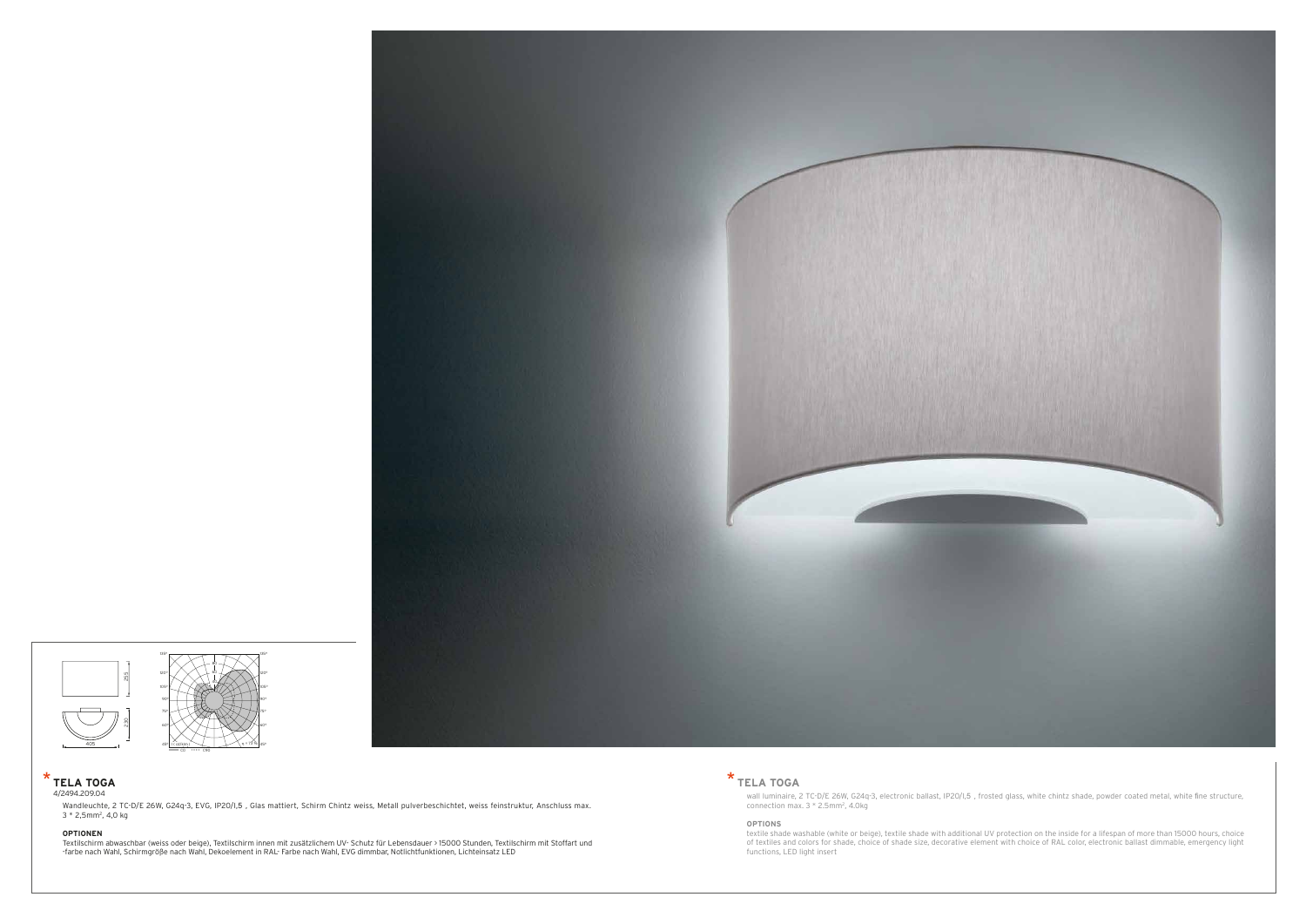### **OPTIONS**

textile shade washable (white or beige), textile shade with additional UV protection on the inside for a lifespan of more than 15000 hours, choice of textiles and colors for shade, choice of shade size, decorative element with choice of RAL color, electronic ballast dimmable, emergency light functions, LED light insert

## \* **TELA TOGA**

wall luminaire, 2 TC-D/E 26W, G24q-3, electronic ballast, IP20/I,5 , frosted glass, white chintz shade, powder coated metal, white fine structure,<br>connection max. 3 \* 2.5mm², 4.0kg

Wandleuchte, 2 TC-D/E 26W, G24q-3, EVG, IP20/I,5 , Glas mattiert, Schirm Chintz weiss, Metall pulverbeschichtet, weiss feinstruktur, Anschluss max. 3 \* 2,5mm2, 4,0 kg

#### **OPTIONEN**

Textilschirm abwaschbar (weiss oder beige), Textilschirm innen mit zusätzlichem UV- Schutz für Lebensdauer > 15000 Stunden, Textilschirm mit Stoffart und -farbe nach Wahl, Schirmgröße nach Wahl, Dekoelement in RAL- Farbe nach Wahl, EVG dimmbar, Notlichtfunktionen, Lichteinsatz LED

### \* **TELA TOGA** 4/2494.209.04